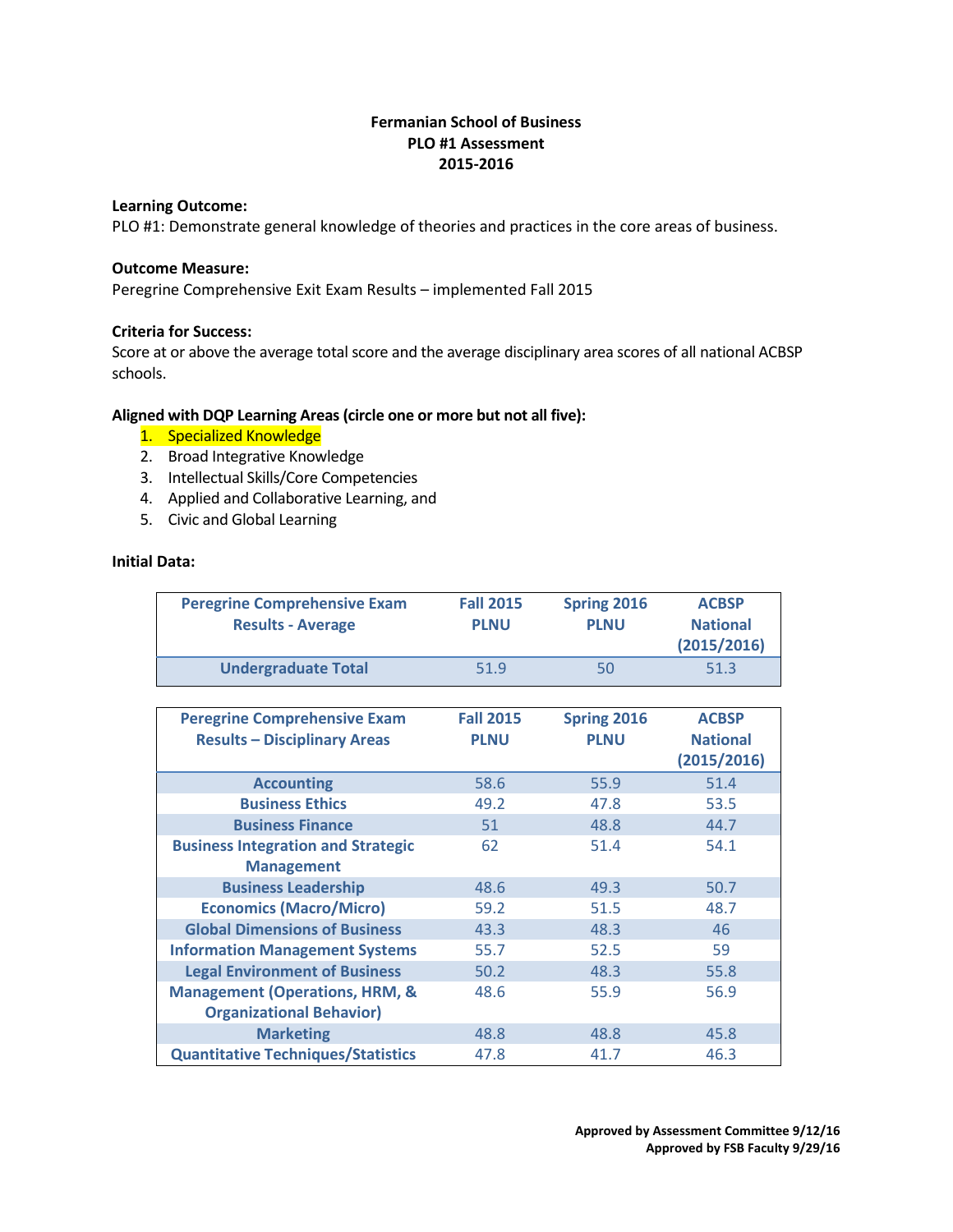# **Fermanian School of Business PLO #1 Assessment 2015-2016**

### **Learning Outcome:**

PLO #1: Demonstrate general knowledge of theories and practices in the core areas of business.

### **Outcome Measure:**

Peregrine Comprehensive Exit Exam Results – implemented Fall 2015

### **Criteria for Success:**

Score at or above the average total score and the average disciplinary area scores of all national ACBSP schools.

## **Aligned with DQP Learning Areas (circle one or more but not all five):**

- 1. Specialized Knowledge
- 2. Broad Integrative Knowledge
- 3. Intellectual Skills/Core Competencies
- 4. Applied and Collaborative Learning, and
- 5. Civic and Global Learning

# **Initial Data:**

| <b>Peregrine Comprehensive Exam</b><br><b>Results - Average</b> | <b>Fall 2015</b><br><b>PLNU</b> | Spring 2016<br><b>PLNU</b> | <b>ACBSP</b><br><b>National</b><br>(2015/2016) |
|-----------------------------------------------------------------|---------------------------------|----------------------------|------------------------------------------------|
| <b>Undergraduate Total</b>                                      | 51.9                            | 50                         | 51.3                                           |

| <b>Peregrine Comprehensive Exam</b><br><b>Results - Disciplinary Areas</b>   | <b>Fall 2015</b><br><b>PLNU</b> | Spring 2016<br><b>PLNU</b> | <b>ACBSP</b><br><b>National</b><br>(2015/2016) |
|------------------------------------------------------------------------------|---------------------------------|----------------------------|------------------------------------------------|
| <b>Accounting</b>                                                            | 58.6                            | 55.9                       | 51.4                                           |
| <b>Business Ethics</b>                                                       | 49.2                            | 47.8                       | 53.5                                           |
| <b>Business Finance</b>                                                      | 51                              | 48.8                       | 44.7                                           |
| <b>Business Integration and Strategic</b><br><b>Management</b>               | 62                              | 51.4                       | 54.1                                           |
| <b>Business Leadership</b>                                                   | 48.6                            | 49.3                       | 50.7                                           |
| <b>Economics (Macro/Micro)</b>                                               | 59.2                            | 51.5                       | 48.7                                           |
| <b>Global Dimensions of Business</b>                                         | 43.3                            | 48.3                       | 46                                             |
| <b>Information Management Systems</b>                                        | 55.7                            | 52.5                       | 59                                             |
| <b>Legal Environment of Business</b>                                         | 50.2                            | 48.3                       | 55.8                                           |
| <b>Management (Operations, HRM, &amp;</b><br><b>Organizational Behavior)</b> | 48.6                            | 55.9                       | 56.9                                           |
| <b>Marketing</b>                                                             | 48.8                            | 48.8                       | 45.8                                           |
| <b>Quantitative Techniques/Statistics</b>                                    | 47.8                            | 41.7                       | 46.3                                           |